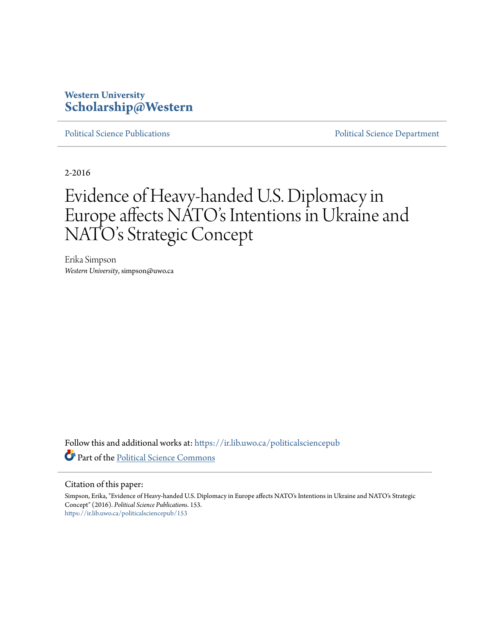## **Western University [Scholarship@Western](https://ir.lib.uwo.ca?utm_source=ir.lib.uwo.ca%2Fpoliticalsciencepub%2F153&utm_medium=PDF&utm_campaign=PDFCoverPages)**

[Political Science Publications](https://ir.lib.uwo.ca/politicalsciencepub?utm_source=ir.lib.uwo.ca%2Fpoliticalsciencepub%2F153&utm_medium=PDF&utm_campaign=PDFCoverPages) **[Political Science Department](https://ir.lib.uwo.ca/politicalscience?utm_source=ir.lib.uwo.ca%2Fpoliticalsciencepub%2F153&utm_medium=PDF&utm_campaign=PDFCoverPages)** 

2-2016

# Evidence of Heavy-handed U.S. Diplomacy in Europe affects NATO's Intentions in Ukraine and NATO's Strategic Concept

Erika Simpson *Western University*, simpson@uwo.ca

Follow this and additional works at: [https://ir.lib.uwo.ca/politicalsciencepub](https://ir.lib.uwo.ca/politicalsciencepub?utm_source=ir.lib.uwo.ca%2Fpoliticalsciencepub%2F153&utm_medium=PDF&utm_campaign=PDFCoverPages) Part of the [Political Science Commons](http://network.bepress.com/hgg/discipline/386?utm_source=ir.lib.uwo.ca%2Fpoliticalsciencepub%2F153&utm_medium=PDF&utm_campaign=PDFCoverPages)

#### Citation of this paper:

Simpson, Erika, "Evidence of Heavy-handed U.S. Diplomacy in Europe affects NATO's Intentions in Ukraine and NATO's Strategic Concept" (2016). *Political Science Publications*. 153. [https://ir.lib.uwo.ca/politicalsciencepub/153](https://ir.lib.uwo.ca/politicalsciencepub/153?utm_source=ir.lib.uwo.ca%2Fpoliticalsciencepub%2F153&utm_medium=PDF&utm_campaign=PDFCoverPages)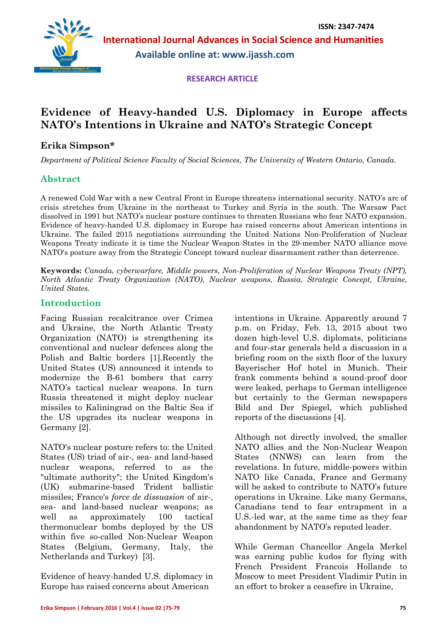**International Journal Advances in Social Science and Humanities Available online at: www.ijassh.com**

 **RESEARCH ARTICLE**

# **Evidence of Heavy-handed U.S. Diplomacy in Europe affects NATO's Intentions in Ukraine and NATO's Strategic Concept**

## **Erika Simpson\***

*Department of Political Science Faculty of Social Sciences, The University of Western Ontario, Canada.*

## **Abstract**

A renewed Cold War with a new Central Front in Europe threatens international security. NATO's arc of crisis stretches from Ukraine in the northeast to Turkey and Syria in the south. The Warsaw Pact dissolved in 1991 but NATO's nuclear posture continues to threaten Russians who fear NATO expansion. Evidence of heavy-handed U.S. diplomacy in Europe has raised concerns about American intentions in Ukraine. The failed 2015 negotiations surrounding the United Nations Non-Proliferation of Nuclear Weapons Treaty indicate it is time the Nuclear Weapon States in the 29-member NATO alliance move NATO's posture away from the Strategic Concept toward nuclear disarmament rather than deterrence.

**Keywords:** *Canada, cyberwarfare, Middle powers, Non-Proliferation of Nuclear Weapons Treaty (NPT), North Atlantic Treaty Organization (NATO), Nuclear weapons, Russia, Strategic Concept, Ukraine, United States.*

### **Introduction**

Facing Russian recalcitrance over Crimea and Ukraine, the North Atlantic Treaty Organization (NATO) is strengthening its conventional and nuclear defences along the Polish and Baltic borders [1].Recently the United States (US) announced it intends to modernize the B-61 bombers that carry NATO's tactical nuclear weapons. In turn Russia threatened it might deploy nuclear missiles to Kaliningrad on the Baltic Sea if the US upgrades its nuclear weapons in Germany [2].

NATO's nuclear posture refers to: the United States (US) triad of air-, sea- and land-based nuclear weapons, referred to as the "ultimate authority"; the United Kingdom's (UK) submarine-based Trident ballistic missiles; France's *force de dissuasion* of air-, sea- and land-based nuclear weapons; as well as approximately 100 tactical thermonuclear bombs deployed by the US within five so-called Non-Nuclear Weapon States (Belgium, Germany, Italy, the Netherlands and Turkey) [3].

Evidence of heavy-handed U.S. diplomacy in Europe has raised concerns about American

intentions in Ukraine. Apparently around 7 p.m. on Friday, Feb. 13, 2015 about two dozen high-level U.S. diplomats, politicians and four-star generals held a discussion in a briefing room on the sixth floor of the luxury Bayerischer Hof hotel in Munich. Their frank comments behind a sound-proof door were leaked, perhaps to German intelligence but certainly to the German newspapers Bild and Der Spiegel, which published reports of the discussions [4].

Although not directly involved, the smaller NATO allies and the Non-Nuclear Weapon States (NNWS) can learn from the revelations. In future, middle-powers within NATO like Canada, France and Germany will be asked to contribute to NATO's future operations in Ukraine. Like many Germans, Canadians tend to fear entrapment in a U.S.-led war, at the same time as they fear abandonment by NATO's reputed leader.

While German Chancellor Angela Merkel was earning public kudos for flying with French President Francois Hollande to Moscow to meet President Vladimir Putin in an effort to broker a ceasefire in Ukraine,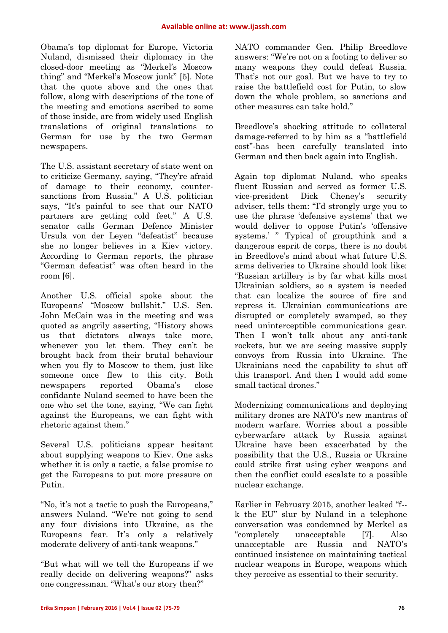Obama's top diplomat for Europe, Victoria Nuland, dismissed their diplomacy in the closed-door meeting as "Merkel's Moscow thing" and "Merkel's Moscow junk" [5]. Note that the quote above and the ones that follow, along with descriptions of the tone of the meeting and emotions ascribed to some of those inside, are from widely used English translations of original translations to German for use by the two German newspapers.

The U.S. assistant secretary of state went on to criticize Germany, saying, "They're afraid of damage to their economy, countersanctions from Russia." A U.S. politician says, "It's painful to see that our NATO partners are getting cold feet." A U.S. senator calls German Defence Minister Ursula von der Leyen "defeatist" because she no longer believes in a Kiev victory. According to German reports, the phrase "German defeatist" was often heard in the room [6].

Another U.S. official spoke about the Europeans' "Moscow bullshit." U.S. Sen. John McCain was in the meeting and was quoted as angrily asserting, "History shows us that dictators always take more, whenever you let them. They can't be brought back from their brutal behaviour when you fly to Moscow to them, just like someone once flew to this city. Both newspapers reported Obama's close confidante Nuland seemed to have been the one who set the tone, saying, "We can fight against the Europeans, we can fight with rhetoric against them."

Several U.S. politicians appear hesitant about supplying weapons to Kiev. One asks whether it is only a tactic, a false promise to get the Europeans to put more pressure on Putin.

"No, it's not a tactic to push the Europeans," answers Nuland. "We're not going to send any four divisions into Ukraine, as the Europeans fear. It's only a relatively moderate delivery of anti-tank weapons."

"But what will we tell the Europeans if we really decide on delivering weapons?" asks one congressman. "What's our story then?"

NATO commander Gen. Philip Breedlove answers: "We're not on a footing to deliver so many weapons they could defeat Russia. That's not our goal. But we have to try to raise the battlefield cost for Putin, to slow down the whole problem, so sanctions and other measures can take hold."

Breedlove's shocking attitude to collateral damage-referred to by him as a "battlefield cost"-has been carefully translated into German and then back again into English.

Again top diplomat Nuland, who speaks fluent Russian and served as former U.S. vice-president Dick Cheney's security adviser, tells them: "I'd strongly urge you to use the phrase 'defensive systems' that we would deliver to oppose Putin's 'offensive systems.' " Typical of groupthink and a dangerous esprit de corps, there is no doubt in Breedlove's mind about what future U.S. arms deliveries to Ukraine should look like: "Russian artillery is by far what kills most Ukrainian soldiers, so a system is needed that can localize the source of fire and repress it. Ukrainian communications are disrupted or completely swamped, so they need uninterceptible communications gear. Then I won't talk about any anti-tank rockets, but we are seeing massive supply convoys from Russia into Ukraine. The Ukrainians need the capability to shut off this transport. And then I would add some small tactical drones."

Modernizing communications and deploying military drones are NATO's new mantras of modern warfare. Worries about a possible cyberwarfare attack by Russia against Ukraine have been exacerbated by the possibility that the U.S., Russia or Ukraine could strike first using cyber weapons and then the conflict could escalate to a possible nuclear exchange.

Earlier in February 2015, another leaked "f- k the EU" slur by Nuland in a telephone conversation was condemned by Merkel as "completely unacceptable [7]. Also unacceptable are Russia and NATO's continued insistence on maintaining tactical nuclear weapons in Europe, weapons which they perceive as essential to their security.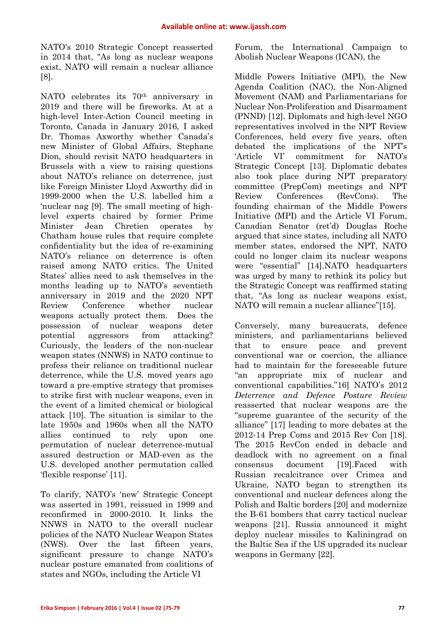NATO's 2010 Strategic Concept reasserted in 2014 that, "As long as nuclear weapons exist, NATO will remain a nuclear alliance [8].

NATO celebrates its 70th anniversary in 2019 and there will be fireworks. At at a high-level Inter-Action Council meeting in Toronto, Canada in January 2016, I asked Dr. Thomas Axworthy whether Canada's new Minister of Global Affairs, Stephane Dion, should revisit NATO headquarters in Brussels with a view to raising questions about NATO's reliance on deterrence, just like Foreign Minister Lloyd Axworthy did in 1999-2000 when the U.S. labelled him a 'nuclear nag [9]. The small meeting of highlevel experts chaired by former Prime Minister Jean Chretien operates by Chatham house rules that require complete confidentiality but the idea of re-examining NATO's reliance on deterrence is often raised among NATO critics. The United States' allies need to ask themselves in the months leading up to NATO's seventieth anniversary in 2019 and the 2020 NPT Review Conference whether nuclear weapons actually protect them. Does the possession of nuclear weapons deter potential aggressors from attacking? Curiously, the leaders of the non-nuclear weapon states (NNWS) in NATO continue to profess their reliance on traditional nuclear deterrence, while the U.S. moved years ago toward a pre-emptive strategy that promises to strike first with nuclear weapons, even in the event of a limited chemical or biological attack [10]. The situation is similar to the late 1950s and 1960s when all the NATO allies continued to rely upon one permutation of nuclear deterrence-mutual assured destruction or MAD-even as the U.S. developed another permutation called 'flexible response' [11].

To clarify, NATO's 'new' Strategic Concept was asserted in 1991, reissued in 1999 and reconfirmed in 2000-2010. It links the NNWS in NATO to the overall nuclear policies of the NATO Nuclear Weapon States (NWS). Over the last fifteen years, significant pressure to change NATO's nuclear posture emanated from coalitions of states and NGOs, including the Article VI

Forum, the International Campaign to Abolish Nuclear Weapons (ICAN), the

Middle Powers Initiative (MPI), the New Agenda Coalition (NAC), the Non-Aligned Movement (NAM) and Parliamentarians for Nuclear Non-Proliferation and Disarmament (PNND) [12]. Diplomats and high-level NGO representatives involved in the NPT Review Conferences, held every five years, often debated the implications of the NPT's 'Article VI' commitment for NATO's Strategic Concept [13]. Diplomatic debates also took place during NPT preparatory committee (PrepCom) meetings and NPT Review Conferences (RevCons). The founding chairman of the Middle Powers Initiative (MPI) and the Article VI Forum, Canadian Senator (ret'd) Douglas Roche argued that since states, including all NATO member states, endorsed the NPT, NATO could no longer claim its nuclear weapons were "essential" [14].NATO headquarters was urged by many to rethink its policy but the Strategic Concept was reaffirmed stating that, "As long as nuclear weapons exist, NATO will remain a nuclear alliance"[15].

Conversely, many bureaucrats, defence ministers, and parliamentarians believed that to ensure peace and prevent conventional war or coercion, the alliance had to maintain for the foreseeable future "an appropriate mix of nuclear and conventional capabilities."16] NATO's 2012 *Deterrence and Defence Posture Review*  reasserted that nuclear weapons are the "supreme guarantee of the security of the alliance" [17] leading to more debates at the 2012-14 Prep Coms and 2015 Rev Con [18]. The 2015 RevCon ended in debacle and deadlock with no agreement on a final consensus document [19].Faced with Russian recalcitrance over Crimea and Ukraine, NATO began to strengthen its conventional and nuclear defences along the Polish and Baltic borders [20] and modernize the B-61 bombers that carry tactical nuclear weapons [21]. Russia announced it might deploy nuclear missiles to Kaliningrad on the Baltic Sea if the US upgraded its nuclear weapons in Germany [22].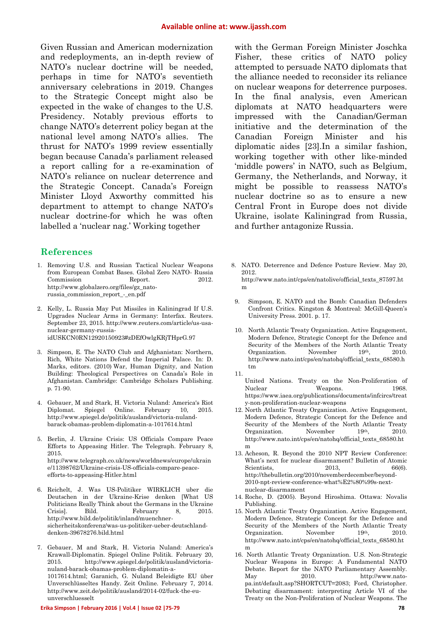11.

Given Russian and American modernization and redeployments, an in-depth review of NATO's nuclear doctrine will be needed, perhaps in time for NATO's seventieth anniversary celebrations in 2019. Changes to the Strategic Concept might also be expected in the wake of changes to the U.S. Presidency. Notably previous efforts to change NATO's deterrent policy began at the national level among NATO's allies. The thrust for NATO's 1999 review essentially began because Canada's parliament released a report calling for a re-examination of NATO's reliance on nuclear deterrence and the Strategic Concept. Canada's Foreign Minister Lloyd Axworthy committed his department to attempt to change NATO's nuclear doctrine-for which he was often labelled a 'nuclear nag.' Working together

#### **References**

- 1. Removing U.S. and Russian Tactical Nuclear Weapons from European Combat Bases. Global Zero NATO- Russia Commission Report. 2012. http://www.globalzero.org/files/gz\_natorussia\_commission\_report\_-\_en.pdf
- 2. Kelly, L. Russia May Put Missiles in Kaliningrad If U.S. Upgrades Nuclear Arms in Germany: Interfax. Reuters. September 23, 2015. http://www.reuters.com/article/us-usanuclear-germany-russiaidUSKCN0RN12920150923#zDEfOwlgKRjTHprG.97
- 3. Simpson, E. The NATO Club and Afghanistan: Northern, Rich, White Nations Defend the Imperial Palace. In: D. Marks, editors. (2010) War, Human Dignity, and Nation Building: Theological Perspectives on Canada's Role in Afghanistan. Cambridge: Cambridge Scholars Publishing. p. 71-90.
- 4. Gebauer, M and Stark, H. Victoria Nuland: America's Riot Diplomat. Spiegel Online. http://www.spiegel.de/politik/ausland/victoria-nulandbarack-obamas-problem-diplomatin-a-1017614.html
- 5. Berlin, J. Ukraine Crisis: US Officials Compare Peace Efforts to Appeasing Hitler. The Telegraph. February 8, 2015. http://www.telegraph.co.uk/news/worldnews/europe/ukrain e/11398762/Ukraine-crisis-US-officials-compare-peaceefforts-to-appeasing-Hitler.html
- 6. Reichelt, J. Was US-Politiker WIRKLICH uber die Deutschen in der Ukraine-Krise denken [What US Politicians Really Think about the Germans in the Ukraine Crisis]. Bild. February 8, 2015. http://www.bild.de/politik/inland/muenchnersicherheitskonferenz/was-us-politiker-ueber-deutschlanddenken-39678276.bild.html
- 7. Gebauer, M and Stark, H. Victoria Nuland: America's Krawall-Diplomatin. Spiegel Online Politik*.* February 20, 2015. http://www.spiegel.de/politik/ausland/victorianuland-barack-obamas-problem-diplomatin-a-1017614.html; Garanich, G. Nuland Beleidigte EU über Unverschlüsseltes Handy. Zeit Online. February 7, 2014. http://www.zeit.de/politik/ausland/2014-02/fuck-the-euunverschluesselt

with the German Foreign Minister Joschka Fisher, these critics of NATO policy attempted to persuade NATO diplomats that the alliance needed to reconsider its reliance on nuclear weapons for deterrence purposes. In the final analysis, even American diplomats at NATO headquarters were impressed with the Canadian/German initiative and the determination of the Canadian Foreign Minister and his diplomatic aides [23].In a similar fashion, working together with other like-minded 'middle powers' in NATO, such as Belgium, Germany, the Netherlands, and Norway, it might be possible to reassess NATO's nuclear doctrine so as to ensure a new Central Front in Europe does not divide Ukraine, isolate Kaliningrad from Russia, and further antagonize Russia.

- 8. NATO. Deterrence and Defence Posture Review. May 20, 2012. http://www.nato.int/cps/en/natolive/official\_texts\_87597.ht
	- m
- 9. Simpson, E. NATO and the Bomb: Canadian Defenders Confront Critics. Kingston & Montreal: McGill-Queen's University Press. 2001. p. 17.
- 10. North Atlantic Treaty Organization. Active Engagement, Modern Defence, Strategic Concept for the Defence and Security of the Members of the North Atlantic Treaty Organization. November 19th, 2010. http://www.nato.int/cps/en/natohq/official\_texts\_68580.h tm
- United Nations. Treaty on the Non-Proliferation of Nuclear Weapons. 1968. https://www.iaea.org/publications/documents/infcircs/treat y-non-proliferation-nuclear-weapons
- 12. North Atlantic Treaty Organization. Active Engagement, Modern Defence, Strategic Concept for the Defence and Security of the Members of the North Atlantic Treaty Organization. November 19th, 2010. http://www.nato.int/cps/en/natohq/official\_texts\_68580.ht m
- 13. Acheson, R. Beyond the 2010 NPT Review Conference: What's next for nuclear disarmament? Bulletin of Atomic Scientists, 2013, 66(6). http://thebulletin.org/2010/novemberdecember/beyond-2010-npt-review-conference-what%E2%80%99s-nextnuclear-disarmament
- 14. Roche, D. (2005). Beyond Hiroshima. Ottawa: Novalis Publishing.
- 15. North Atlantic Treaty Organization. Active Engagement, Modern Defence, Strategic Concept for the Defence and Security of the Members of the North Atlantic Treaty Organization. November 19th, 2010. http://www.nato.int/cps/en/natohq/official\_texts\_68580.ht m
- 16. North Atlantic Treaty Organization. U.S. Non-Strategic Nuclear Weapons in Europe: A Fundamental NATO Debate. Report for the NATO Parliamentary Assembly. May 2010. http://www.natopa.int/default.asp?SHORTCUT=2083; Ford, Christopher. Debating disarmament: interpreting Article VI of the Treaty on the Non-Proliferation of Nuclear Weapons. The

#### **Erika Simpson | February 2016 | Vol.4 | Issue 02 |75-79 78**